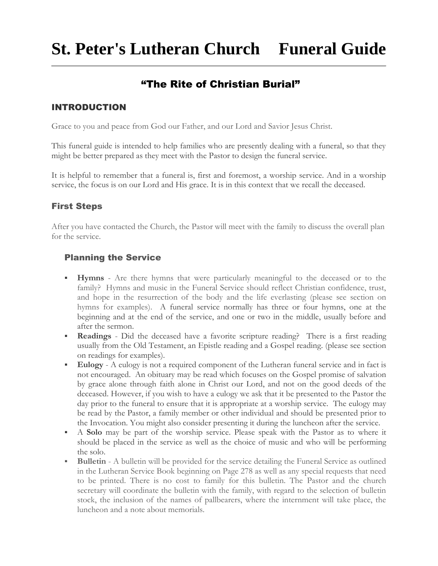# "The Rite of Christian Burial"

## INTRODUCTION

Grace to you and peace from God our Father, and our Lord and Savior Jesus Christ.

This funeral guide is intended to help families who are presently dealing with a funeral, so that they might be better prepared as they meet with the Pastor to design the funeral service.

It is helpful to remember that a funeral is, first and foremost, a worship service. And in a worship service, the focus is on our Lord and His grace. It is in this context that we recall the deceased.

## First Steps

After you have contacted the Church, the Pastor will meet with the family to discuss the overall plan for the service.

## Planning the Service

- **Hymns** Are there hymns that were particularly meaningful to the deceased or to the family? Hymns and music in the Funeral Service should reflect Christian confidence, trust, and hope in the resurrection of the body and the life everlasting (please see section on hymns for examples). A funeral service normally has three or four hymns, one at the beginning and at the end of the service, and one or two in the middle, usually before and after the sermon.
- **Readings** Did the deceased have a favorite scripture reading? There is a first reading usually from the Old Testament, an Epistle reading and a Gospel reading. (please see section on readings for examples).
- **Eulogy** A eulogy is not a required component of the Lutheran funeral service and in fact is not encouraged. An obituary may be read which focuses on the Gospel promise of salvation by grace alone through faith alone in Christ our Lord, and not on the good deeds of the deceased. However, if you wish to have a eulogy we ask that it be presented to the Pastor the day prior to the funeral to ensure that it is appropriate at a worship service. The eulogy may be read by the Pastor, a family member or other individual and should be presented prior to the Invocation. You might also consider presenting it during the luncheon after the service.
- A **Solo** may be part of the worship service. Please speak with the Pastor as to where it should be placed in the service as well as the choice of music and who will be performing the solo.
- **Bulletin** A bulletin will be provided for the service detailing the Funeral Service as outlined in the Lutheran Service Book beginning on Page 278 as well as any special requests that need to be printed. There is no cost to family for this bulletin. The Pastor and the church secretary will coordinate the bulletin with the family, with regard to the selection of bulletin stock, the inclusion of the names of pallbearers, where the internment will take place, the luncheon and a note about memorials.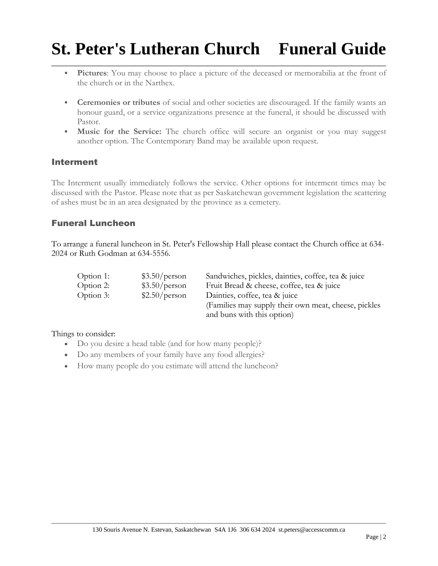- **Pictures**: You may choose to place a picture of the deceased or memorabilia at the front of the church or in the Narthex.
- **Ceremonies or tributes** of social and other societies are discouraged. If the family wants an honour guard, or a service organizations presence at the funeral, it should be discussed with Pastor.
- **Music for the Service:** The church office will secure an organist or you may suggest another option. The Contemporary Band may be available upon request.

## Interment

The Interment usually immediately follows the service. Other options for interment times may be discussed with the Pastor. Please note that as per Saskatchewan government legislation the scattering of ashes must be in an area designated by the province as a cemetery.

## Funeral Luncheon

To arrange a funeral luncheon in St. Peter's Fellowship Hall please contact the Church office at 634- 2024 or Ruth Godman at 634-5556.

| Option 1: | \$3.50/person | Sandwiches, pickles, dainties, coffee, tea & juice   |
|-----------|---------------|------------------------------------------------------|
| Option 2: | \$3.50/person | Fruit Bread & cheese, coffee, tea & juice            |
| Option 3: | \$2.50/person | Dainties, coffee, tea & juice                        |
|           |               | (Families may supply their own meat, cheese, pickles |
|           |               | and buns with this option)                           |

## Things to consider:

- Do you desire a head table (and for how many people)?
- Do any members of your family have any food allergies?
- How many people do you estimate will attend the luncheon?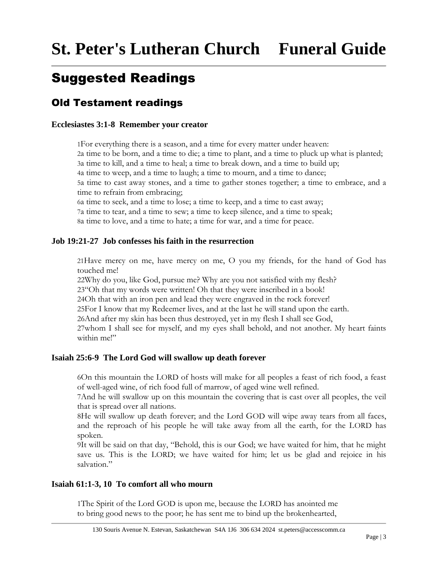# Suggested Readings

# Old Testament readings

## **Ecclesiastes 3:1-8 Remember your creator**

For everything there is a season, and a time for every matter under heaven: a time to be born, and a time to die; a time to plant, and a time to pluck up what is planted; a time to kill, and a time to heal; a time to break down, and a time to build up; a time to weep, and a time to laugh; a time to mourn, and a time to dance; a time to cast away stones, and a time to gather stones together; a time to embrace, and a time to refrain from embracing;

6a time to seek, and a time to lose; a time to keep, and a time to cast away;

7a time to tear, and a time to sew; a time to keep silence, and a time to speak;

8a time to love, and a time to hate; a time for war, and a time for peace.

### **Job 19:21-27 Job confesses his faith in the resurrection**

21Have mercy on me, have mercy on me, O you my friends, for the hand of God has touched me!

22Why do you, like God, pursue me? Why are you not satisfied with my flesh?

23"Oh that my words were written! Oh that they were inscribed in a book!

24Oh that with an iron pen and lead they were engraved in the rock forever!

25For I know that my Redeemer lives, and at the last he will stand upon the earth.

26And after my skin has been thus destroyed, yet in my flesh I shall see God,

27whom I shall see for myself, and my eyes shall behold, and not another. My heart faints within me!"

## **Isaiah 25:6-9 The Lord God will swallow up death forever**

6On this mountain the LORD of hosts will make for all peoples a feast of rich food, a feast of well-aged wine, of rich food full of marrow, of aged wine well refined.

7And he will swallow up on this mountain the covering that is cast over all peoples, the veil that is spread over all nations.

8He will swallow up death forever; and the Lord GOD will wipe away tears from all faces, and the reproach of his people he will take away from all the earth, for the LORD has spoken.

9It will be said on that day, "Behold, this is our God; we have waited for him, that he might save us. This is the LORD; we have waited for him; let us be glad and rejoice in his salvation."

## **Isaiah 61:1-3, 10 To comfort all who mourn**

1The Spirit of the Lord GOD is upon me, because the LORD has anointed me to bring good news to the poor; he has sent me to bind up the brokenhearted,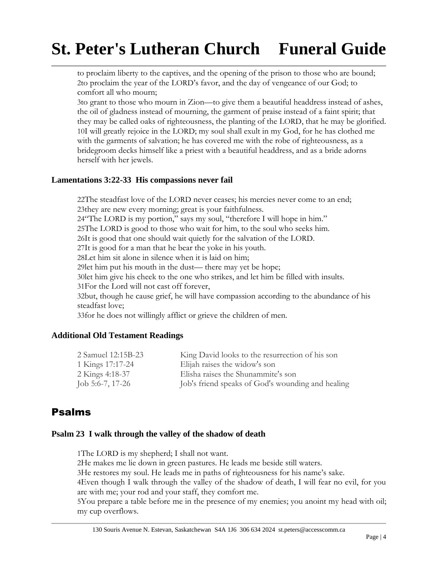to proclaim liberty to the captives, and the opening of the prison to those who are bound; 2to proclaim the year of the LORD's favor, and the day of vengeance of our God; to comfort all who mourn;

3to grant to those who mourn in Zion—to give them a beautiful headdress instead of ashes, the oil of gladness instead of mourning, the garment of praise instead of a faint spirit; that they may be called oaks of righteousness, the planting of the LORD, that he may be glorified. 10I will greatly rejoice in the LORD; my soul shall exult in my God, for he has clothed me with the garments of salvation; he has covered me with the robe of righteousness, as a bridegroom decks himself like a priest with a beautiful headdress, and as a bride adorns herself with her jewels.

### **Lamentations 3:22-33 His compassions never fail**

The steadfast love of the LORD never ceases; his mercies never come to an end; they are new every morning; great is your faithfulness. "The LORD is my portion," says my soul, "therefore I will hope in him." The LORD is good to those who wait for him, to the soul who seeks him. It is good that one should wait quietly for the salvation of the LORD. It is good for a man that he bear the yoke in his youth. Let him sit alone in silence when it is laid on him; let him put his mouth in the dust— there may yet be hope; let him give his cheek to the one who strikes, and let him be filled with insults. For the Lord will not cast off forever, but, though he cause grief, he will have compassion according to the abundance of his steadfast love;

33for he does not willingly afflict or grieve the children of men.

## **Additional Old Testament Readings**

| 2 Samuel 12:15B-23 | King David looks to the resurrection of his son   |
|--------------------|---------------------------------------------------|
| 1 Kings 17:17-24   | Elijah raises the widow's son                     |
| 2 Kings 4:18-37    | Elisha raises the Shunammite's son                |
| Job 5:6-7, 17-26   | Job's friend speaks of God's wounding and healing |

# Psalms

## **Psalm 23 I walk through the valley of the shadow of death**

1The LORD is my shepherd; I shall not want.

2He makes me lie down in green pastures. He leads me beside still waters.

3He restores my soul. He leads me in paths of righteousness for his name's sake.

4Even though I walk through the valley of the shadow of death, I will fear no evil, for you are with me; your rod and your staff, they comfort me.

5You prepare a table before me in the presence of my enemies; you anoint my head with oil; my cup overflows.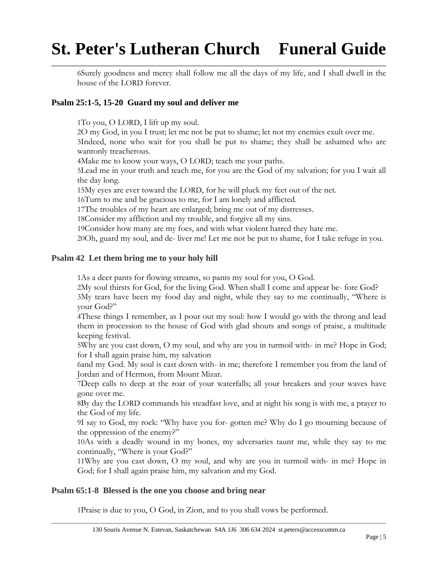6Surely goodness and mercy shall follow me all the days of my life, and I shall dwell in the house of the LORD forever.

### **Psalm 25:1-5, 15-20 Guard my soul and deliver me**

1To you, O LORD, I lift up my soul.

2O my God, in you I trust; let me not be put to shame; let not my enemies exult over me. 3Indeed, none who wait for you shall be put to shame; they shall be ashamed who are wantonly treacherous.

4Make me to know your ways, O LORD; teach me your paths.

5Lead me in your truth and teach me, for you are the God of my salvation; for you I wait all the day long.

15My eyes are ever toward the LORD, for he will pluck my feet out of the net.

16Turn to me and be gracious to me, for I am lonely and afflicted.

17The troubles of my heart are enlarged; bring me out of my distresses.

18Consider my affliction and my trouble, and forgive all my sins.

19Consider how many are my foes, and with what violent hatred they hate me.

20Oh, guard my soul, and de- liver me! Let me not be put to shame, for I take refuge in you.

### **Psalm 42 Let them bring me to your holy hill**

1As a deer pants for flowing streams, so pants my soul for you, O God.

2My soul thirsts for God, for the living God. When shall I come and appear be- fore God?

3My tears have been my food day and night, while they say to me continually, "Where is your God?"

4These things I remember, as I pour out my soul: how I would go with the throng and lead them in procession to the house of God with glad shouts and songs of praise, a multitude keeping festival.

5Why are you cast down, O my soul, and why are you in turmoil with- in me? Hope in God; for I shall again praise him, my salvation

6and my God. My soul is cast down with- in me; therefore I remember you from the land of Jordan and of Hermon, from Mount Mizar.

7Deep calls to deep at the roar of your waterfalls; all your breakers and your waves have gone over me.

8By day the LORD commands his steadfast love, and at night his song is with me, a prayer to the God of my life.

9I say to God, my rock: "Why have you for- gotten me? Why do I go mourning because of the oppression of the enemy?"

10As with a deadly wound in my bones, my adversaries taunt me, while they say to me continually, "Where is your God?"

11Why are you cast down, O my soul, and why are you in turmoil with- in me? Hope in God; for I shall again praise him, my salvation and my God.

### **Psalm 65:1-8 Blessed is the one you choose and bring near**

1Praise is due to you, O God, in Zion, and to you shall vows be performed.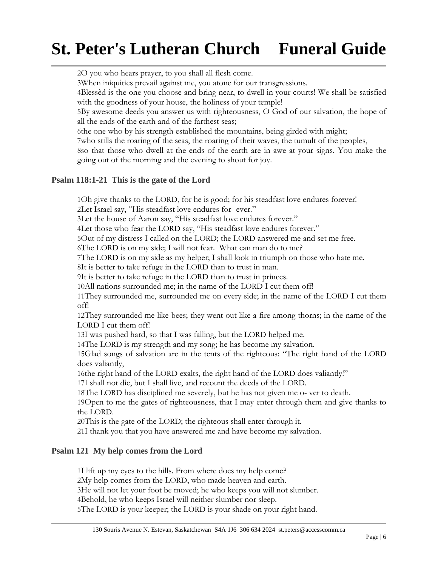O you who hears prayer, to you shall all flesh come.

When iniquities prevail against me, you atone for our transgressions.

Blessèd is the one you choose and bring near, to dwell in your courts! We shall be satisfied with the goodness of your house, the holiness of your temple!

By awesome deeds you answer us with righteousness, O God of our salvation, the hope of all the ends of the earth and of the farthest seas;

the one who by his strength established the mountains, being girded with might;

who stills the roaring of the seas, the roaring of their waves, the tumult of the peoples,

so that those who dwell at the ends of the earth are in awe at your signs. You make the going out of the morning and the evening to shout for joy.

## **Psalm 118:1-21 This is the gate of the Lord**

Oh give thanks to the LORD, for he is good; for his steadfast love endures forever! Let Israel say, "His steadfast love endures for- ever."

Let the house of Aaron say, "His steadfast love endures forever."

Let those who fear the LORD say, "His steadfast love endures forever."

Out of my distress I called on the LORD; the LORD answered me and set me free.

The LORD is on my side; I will not fear. What can man do to me?

The LORD is on my side as my helper; I shall look in triumph on those who hate me.

It is better to take refuge in the LORD than to trust in man.

It is better to take refuge in the LORD than to trust in princes.

All nations surrounded me; in the name of the LORD I cut them off!

They surrounded me, surrounded me on every side; in the name of the LORD I cut them off!

They surrounded me like bees; they went out like a fire among thorns; in the name of the LORD I cut them off!

I was pushed hard, so that I was falling, but the LORD helped me.

The LORD is my strength and my song; he has become my salvation.

Glad songs of salvation are in the tents of the righteous: "The right hand of the LORD does valiantly,

the right hand of the LORD exalts, the right hand of the LORD does valiantly!"

I shall not die, but I shall live, and recount the deeds of the LORD.

The LORD has disciplined me severely, but he has not given me o- ver to death.

Open to me the gates of righteousness, that I may enter through them and give thanks to the LORD.

This is the gate of the LORD; the righteous shall enter through it.

I thank you that you have answered me and have become my salvation.

## **Psalm 121 My help comes from the Lord**

I lift up my eyes to the hills. From where does my help come? My help comes from the LORD, who made heaven and earth. He will not let your foot be moved; he who keeps you will not slumber. Behold, he who keeps Israel will neither slumber nor sleep. The LORD is your keeper; the LORD is your shade on your right hand.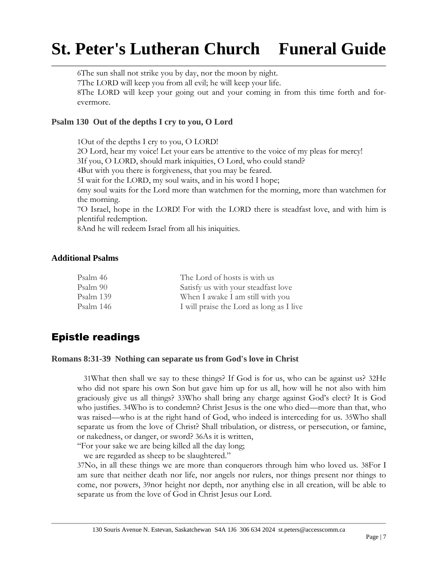6The sun shall not strike you by day, nor the moon by night.

7The LORD will keep you from all evil; he will keep your life.

8The LORD will keep your going out and your coming in from this time forth and forevermore.

## **Psalm 130 Out of the depths I cry to you, O Lord**

1Out of the depths I cry to you, O LORD!

2O Lord, hear my voice! Let your ears be attentive to the voice of my pleas for mercy!

3If you, O LORD, should mark iniquities, O Lord, who could stand?

4But with you there is forgiveness, that you may be feared.

5I wait for the LORD, my soul waits, and in his word I hope;

6my soul waits for the Lord more than watchmen for the morning, more than watchmen for the morning.

7O Israel, hope in the LORD! For with the LORD there is steadfast love, and with him is plentiful redemption.

8And he will redeem Israel from all his iniquities.

### **Additional Psalms**

| Psalm 46  | The Lord of hosts is with us             |
|-----------|------------------------------------------|
| Psalm 90  | Satisfy us with your steadfast love      |
| Psalm 139 | When I awake I am still with you         |
| Psalm 146 | I will praise the Lord as long as I live |

# Epistle readings

### **Romans 8:31-39 Nothing can separate us from God's love in Christ**

31What then shall we say to these things? If God is for us, who can be against us? 32He who did not spare his own Son but gave him up for us all, how will he not also with him graciously give us all things? 33Who shall bring any charge against God's elect? It is God who justifies. 34Who is to condemn? Christ Jesus is the one who died—more than that, who was raised—who is at the right hand of God, who indeed is interceding for us. 35Who shall separate us from the love of Christ? Shall tribulation, or distress, or persecution, or famine, or nakedness, or danger, or sword? 36As it is written,

"For your sake we are being killed all the day long;

we are regarded as sheep to be slaughtered."

37No, in all these things we are more than conquerors through him who loved us. 38For I am sure that neither death nor life, nor angels nor rulers, nor things present nor things to come, nor powers, 39nor height nor depth, nor anything else in all creation, will be able to separate us from the love of God in Christ Jesus our Lord.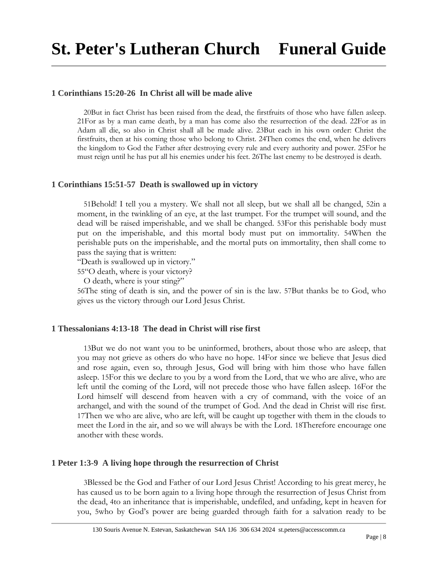### **1 Corinthians 15:20-26 In Christ all will be made alive**

20But in fact Christ has been raised from the dead, the firstfruits of those who have fallen asleep. 21For as by a man came death, by a man has come also the resurrection of the dead. 22For as in Adam all die, so also in Christ shall all be made alive. 23But each in his own order: Christ the firstfruits, then at his coming those who belong to Christ. 24Then comes the end, when he delivers the kingdom to God the Father after destroying every rule and every authority and power. 25For he must reign until he has put all his enemies under his feet. 26The last enemy to be destroyed is death.

### **1 Corinthians 15:51-57 Death is swallowed up in victory**

51Behold! I tell you a mystery. We shall not all sleep, but we shall all be changed, 52in a moment, in the twinkling of an eye, at the last trumpet. For the trumpet will sound, and the dead will be raised imperishable, and we shall be changed. 53For this perishable body must put on the imperishable, and this mortal body must put on immortality. 54When the perishable puts on the imperishable, and the mortal puts on immortality, then shall come to pass the saying that is written:

"Death is swallowed up in victory."

55"O death, where is your victory?

O death, where is your sting?"

56The sting of death is sin, and the power of sin is the law. 57But thanks be to God, who gives us the victory through our Lord Jesus Christ.

### **1 Thessalonians 4:13-18 The dead in Christ will rise first**

13But we do not want you to be uninformed, brothers, about those who are asleep, that you may not grieve as others do who have no hope. 14For since we believe that Jesus died and rose again, even so, through Jesus, God will bring with him those who have fallen asleep. 15For this we declare to you by a word from the Lord, that we who are alive, who are left until the coming of the Lord, will not precede those who have fallen asleep. 16For the Lord himself will descend from heaven with a cry of command, with the voice of an archangel, and with the sound of the trumpet of God. And the dead in Christ will rise first. 17Then we who are alive, who are left, will be caught up together with them in the clouds to meet the Lord in the air, and so we will always be with the Lord. 18Therefore encourage one another with these words.

### **1 Peter 1:3-9 A living hope through the resurrection of Christ**

3Blessed be the God and Father of our Lord Jesus Christ! According to his great mercy, he has caused us to be born again to a living hope through the resurrection of Jesus Christ from the dead, 4to an inheritance that is imperishable, undefiled, and unfading, kept in heaven for you, 5who by God's power are being guarded through faith for a salvation ready to be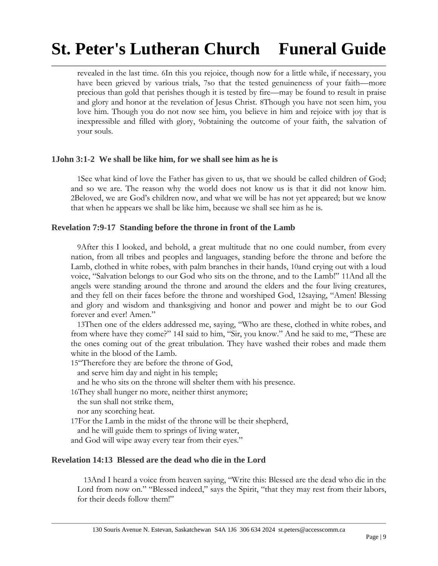revealed in the last time. 6In this you rejoice, though now for a little while, if necessary, you have been grieved by various trials, 7so that the tested genuineness of your faith—more precious than gold that perishes though it is tested by fire—may be found to result in praise and glory and honor at the revelation of Jesus Christ. 8Though you have not seen him, you love him. Though you do not now see him, you believe in him and rejoice with joy that is inexpressible and filled with glory, 9obtaining the outcome of your faith, the salvation of your souls.

### **1John 3:1-2 We shall be like him, for we shall see him as he is**

1See what kind of love the Father has given to us, that we should be called children of God; and so we are. The reason why the world does not know us is that it did not know him. 2Beloved, we are God's children now, and what we will be has not yet appeared; but we know that when he appears we shall be like him, because we shall see him as he is.

### **Revelation 7:9-17 Standing before the throne in front of the Lamb**

9After this I looked, and behold, a great multitude that no one could number, from every nation, from all tribes and peoples and languages, standing before the throne and before the Lamb, clothed in white robes, with palm branches in their hands, 10and crying out with a loud voice, "Salvation belongs to our God who sits on the throne, and to the Lamb!" 11And all the angels were standing around the throne and around the elders and the four living creatures, and they fell on their faces before the throne and worshiped God, 12saying, "Amen! Blessing and glory and wisdom and thanksgiving and honor and power and might be to our God forever and ever! Amen."

13Then one of the elders addressed me, saying, "Who are these, clothed in white robes, and from where have they come?" 14I said to him, "Sir, you know." And he said to me, "These are the ones coming out of the great tribulation. They have washed their robes and made them white in the blood of the Lamb.

15"Therefore they are before the throne of God,

and serve him day and night in his temple;

and he who sits on the throne will shelter them with his presence.

16They shall hunger no more, neither thirst anymore;

the sun shall not strike them,

nor any scorching heat.

17For the Lamb in the midst of the throne will be their shepherd,

and he will guide them to springs of living water,

and God will wipe away every tear from their eyes."

### **Revelation 14:13 Blessed are the dead who die in the Lord**

13And I heard a voice from heaven saying, "Write this: Blessed are the dead who die in the Lord from now on." "Blessed indeed," says the Spirit, "that they may rest from their labors, for their deeds follow them!"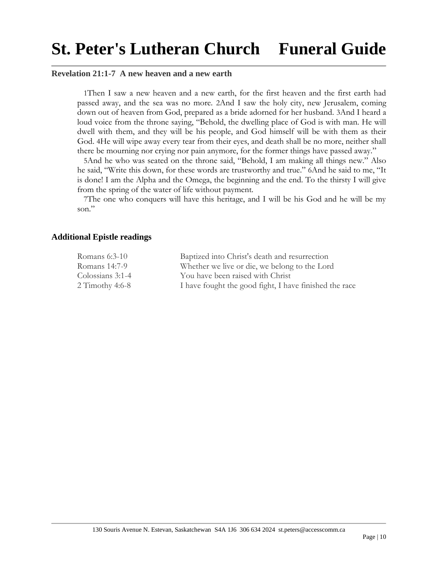### **Revelation 21:1-7 A new heaven and a new earth**

1Then I saw a new heaven and a new earth, for the first heaven and the first earth had passed away, and the sea was no more. 2And I saw the holy city, new Jerusalem, coming down out of heaven from God, prepared as a bride adorned for her husband. 3And I heard a loud voice from the throne saying, "Behold, the dwelling place of God is with man. He will dwell with them, and they will be his people, and God himself will be with them as their God. 4He will wipe away every tear from their eyes, and death shall be no more, neither shall there be mourning nor crying nor pain anymore, for the former things have passed away."

5And he who was seated on the throne said, "Behold, I am making all things new." Also he said, "Write this down, for these words are trustworthy and true." 6And he said to me, "It is done! I am the Alpha and the Omega, the beginning and the end. To the thirsty I will give from the spring of the water of life without payment.

7The one who conquers will have this heritage, and I will be his God and he will be my son."

### **Additional Epistle readings**

| Romans $6:3-10$   | Baptized into Christ's death and resurrection          |
|-------------------|--------------------------------------------------------|
| Romans 14:7-9     | Whether we live or die, we belong to the Lord          |
| Colossians 3:1-4  | You have been raised with Christ                       |
| $2$ Timothy 4:6-8 | I have fought the good fight, I have finished the race |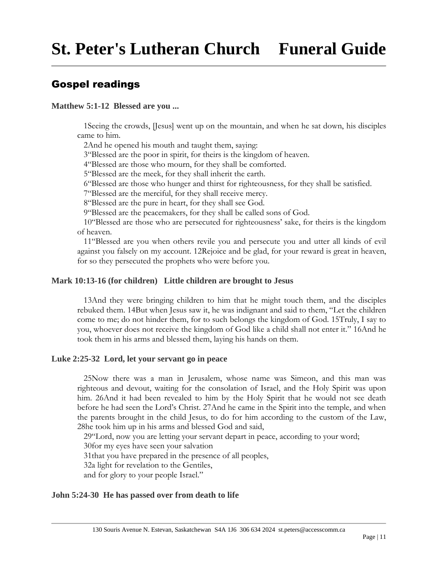# Gospel readings

### **Matthew 5:1-12 Blessed are you ...**

1Seeing the crowds, [Jesus] went up on the mountain, and when he sat down, his disciples came to him.

2And he opened his mouth and taught them, saying:

3"Blessed are the poor in spirit, for theirs is the kingdom of heaven.

4"Blessed are those who mourn, for they shall be comforted.

5"Blessed are the meek, for they shall inherit the earth.

6"Blessed are those who hunger and thirst for righteousness, for they shall be satisfied.

7"Blessed are the merciful, for they shall receive mercy.

8"Blessed are the pure in heart, for they shall see God.

9"Blessed are the peacemakers, for they shall be called sons of God.

10"Blessed are those who are persecuted for righteousness' sake, for theirs is the kingdom of heaven.

11"Blessed are you when others revile you and persecute you and utter all kinds of evil against you falsely on my account. 12Rejoice and be glad, for your reward is great in heaven, for so they persecuted the prophets who were before you.

### **Mark 10:13-16 (for children) Little children are brought to Jesus**

13And they were bringing children to him that he might touch them, and the disciples rebuked them. 14But when Jesus saw it, he was indignant and said to them, "Let the children come to me; do not hinder them, for to such belongs the kingdom of God. 15Truly, I say to you, whoever does not receive the kingdom of God like a child shall not enter it." 16And he took them in his arms and blessed them, laying his hands on them.

### **Luke 2:25-32 Lord, let your servant go in peace**

25Now there was a man in Jerusalem, whose name was Simeon, and this man was righteous and devout, waiting for the consolation of Israel, and the Holy Spirit was upon him. 26And it had been revealed to him by the Holy Spirit that he would not see death before he had seen the Lord's Christ. 27And he came in the Spirit into the temple, and when the parents brought in the child Jesus, to do for him according to the custom of the Law, 28he took him up in his arms and blessed God and said,

29"Lord, now you are letting your servant depart in peace, according to your word;

30for my eyes have seen your salvation

31that you have prepared in the presence of all peoples,

32a light for revelation to the Gentiles,

and for glory to your people Israel."

## **John 5:24-30 He has passed over from death to life**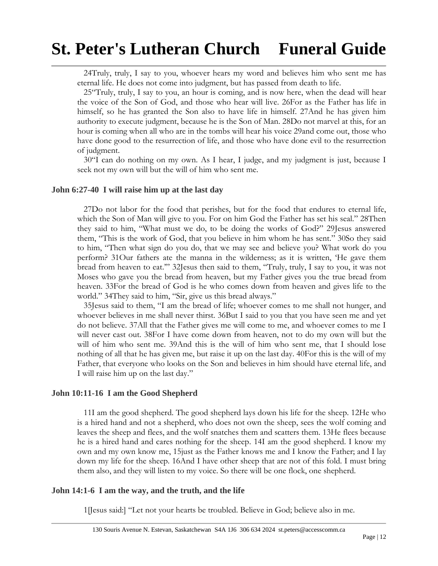24Truly, truly, I say to you, whoever hears my word and believes him who sent me has eternal life. He does not come into judgment, but has passed from death to life.

25"Truly, truly, I say to you, an hour is coming, and is now here, when the dead will hear the voice of the Son of God, and those who hear will live. 26For as the Father has life in himself, so he has granted the Son also to have life in himself. 27And he has given him authority to execute judgment, because he is the Son of Man. 28Do not marvel at this, for an hour is coming when all who are in the tombs will hear his voice 29and come out, those who have done good to the resurrection of life, and those who have done evil to the resurrection of judgment.

30"I can do nothing on my own. As I hear, I judge, and my judgment is just, because I seek not my own will but the will of him who sent me.

### **John 6:27-40 I will raise him up at the last day**

27Do not labor for the food that perishes, but for the food that endures to eternal life, which the Son of Man will give to you. For on him God the Father has set his seal." 28Then they said to him, "What must we do, to be doing the works of God?" 29Jesus answered them, "This is the work of God, that you believe in him whom he has sent." 30So they said to him, "Then what sign do you do, that we may see and believe you? What work do you perform? 31Our fathers ate the manna in the wilderness; as it is written, 'He gave them bread from heaven to eat.'" 32Jesus then said to them, "Truly, truly, I say to you, it was not Moses who gave you the bread from heaven, but my Father gives you the true bread from heaven. 33For the bread of God is he who comes down from heaven and gives life to the world." 34They said to him, "Sir, give us this bread always."

35Jesus said to them, "I am the bread of life; whoever comes to me shall not hunger, and whoever believes in me shall never thirst. 36But I said to you that you have seen me and yet do not believe. 37All that the Father gives me will come to me, and whoever comes to me I will never cast out. 38For I have come down from heaven, not to do my own will but the will of him who sent me. 39And this is the will of him who sent me, that I should lose nothing of all that he has given me, but raise it up on the last day. 40For this is the will of my Father, that everyone who looks on the Son and believes in him should have eternal life, and I will raise him up on the last day."

### **John 10:11-16 I am the Good Shepherd**

11I am the good shepherd. The good shepherd lays down his life for the sheep. 12He who is a hired hand and not a shepherd, who does not own the sheep, sees the wolf coming and leaves the sheep and flees, and the wolf snatches them and scatters them. 13He flees because he is a hired hand and cares nothing for the sheep. 14I am the good shepherd. I know my own and my own know me, 15just as the Father knows me and I know the Father; and I lay down my life for the sheep. 16And I have other sheep that are not of this fold. I must bring them also, and they will listen to my voice. So there will be one flock, one shepherd.

### **John 14:1-6 I am the way, and the truth, and the life**

1[Jesus said:] "Let not your hearts be troubled. Believe in God; believe also in me.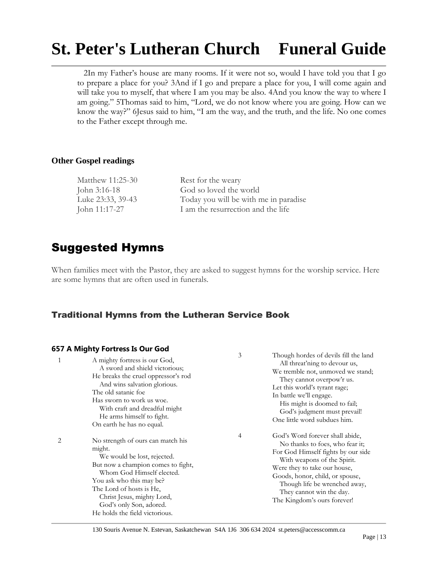2In my Father's house are many rooms. If it were not so, would I have told you that I go to prepare a place for you? 3And if I go and prepare a place for you, I will come again and will take you to myself, that where I am you may be also. 4And you know the way to where I am going." 5Thomas said to him, "Lord, we do not know where you are going. How can we know the way?" 6Jesus said to him, "I am the way, and the truth, and the life. No one comes to the Father except through me.

### **Other Gospel readings**

| Matthew 11:25-30  | Rest for the weary                    |
|-------------------|---------------------------------------|
| John 3:16-18      | God so loved the world                |
| Luke 23:33, 39-43 | Today you will be with me in paradise |
| John 11:17-27     | I am the resurrection and the life    |

## Suggested Hymns

When families meet with the Pastor, they are asked to suggest hymns for the worship service. Here are some hymns that are often used in funerals.

### Traditional Hymns from the Lutheran Service Book

### **657 A Mighty Fortress Is Our God**

| 1 | A mighty fortress is our God,<br>A sword and shield victorious;<br>He breaks the cruel oppressor's rod<br>And wins salvation glorious.<br>The old satanic foe<br>Has sworn to work us woe.<br>With craft and dreadful might<br>He arms himself to fight.<br>On earth he has no equal.            | 3<br>Though hordes of devils fill the land<br>All threat'ning to devour us,<br>We tremble not, unmoved we stand;<br>They cannot overpow'r us.<br>Let this world's tyrant rage;<br>In battle we'll engage.<br>His might is doomed to fail;<br>God's judgment must prevail!<br>One little word subdues him. |                                                                                                                                                                                                                                                                                                        |
|---|--------------------------------------------------------------------------------------------------------------------------------------------------------------------------------------------------------------------------------------------------------------------------------------------------|-----------------------------------------------------------------------------------------------------------------------------------------------------------------------------------------------------------------------------------------------------------------------------------------------------------|--------------------------------------------------------------------------------------------------------------------------------------------------------------------------------------------------------------------------------------------------------------------------------------------------------|
|   | No strength of ours can match his<br>might.<br>We would be lost, rejected.<br>But now a champion comes to fight,<br>Whom God Himself elected.<br>You ask who this may be?<br>The Lord of hosts is He,<br>Christ Jesus, mighty Lord,<br>God's only Son, adored.<br>He holds the field victorious. | 4                                                                                                                                                                                                                                                                                                         | God's Word forever shall abide,<br>No thanks to foes, who fear it;<br>For God Himself fights by our side<br>With weapons of the Spirit.<br>Were they to take our house,<br>Goods, honor, child, or spouse,<br>Though life be wrenched away,<br>They cannot win the day.<br>The Kingdom's ours forever! |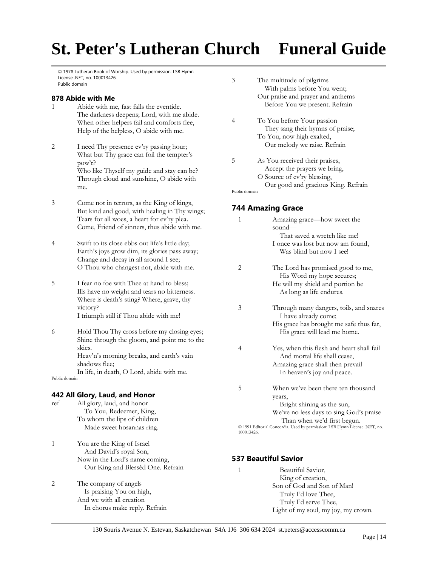© 1978 Lutheran Book of Worship. Used by permission: LSB Hymn License .NET, no. 100013426. Public domain

### **878 Abide with Me**

- 1 Abide with me, fast falls the eventide. The darkness deepens; Lord, with me abide. When other helpers fail and comforts flee, Help of the helpless, O abide with me.
- 2 I need Thy presence ev'ry passing hour; What but Thy grace can foil the tempter's pow'r? Who like Thyself my guide and stay can be? Through cloud and sunshine, O abide with me.

3 Come not in terrors, as the King of kings, But kind and good, with healing in Thy wings; Tears for all woes, a heart for ev'ry plea. Come, Friend of sinners, thus abide with me.

- 4 Swift to its close ebbs out life's little day; Earth's joys grow dim, its glories pass away; Change and decay in all around I see; O Thou who changest not, abide with me.
- 5 I fear no foe with Thee at hand to bless; Ills have no weight and tears no bitterness. Where is death's sting? Where, grave, thy victory? I triumph still if Thou abide with me!
- 6 Hold Thou Thy cross before my closing eyes; Shine through the gloom, and point me to the skies. Heav'n's morning breaks, and earth's vain shadows flee; In life, in death, O Lord, abide with me.

Public domain

### **442 All Glory, Laud, and Honor**

- ref All glory, laud, and honor To You, Redeemer, King, To whom the lips of children Made sweet hosannas ring.
- 1 You are the King of Israel And David's royal Son, Now in the Lord's name coming, Our King and Blessèd One. Refrain
- 2 The company of angels Is praising You on high, And we with all creation In chorus make reply. Refrain
- 3 The multitude of pilgrims With palms before You went; Our praise and prayer and anthems Before You we present. Refrain
- 4 To You before Your passion They sang their hymns of praise; To You, now high exalted, Our melody we raise. Refrain
- 5 As You received their praises, Accept the prayers we bring, O Source of ev'ry blessing, Our good and gracious King. Refrain

Public domain

## **744 Amazing Grace**

1 Amazing grace—how sweet the sound— That saved a wretch like me! I once was lost but now am found, Was blind but now I see! 2 The Lord has promised good to me, His Word my hope secures; He will my shield and portion be As long as life endures. 3 Through many dangers, toils, and snares I have already come; His grace has brought me safe thus far, His grace will lead me home. 4 Yes, when this flesh and heart shall fail And mortal life shall cease, Amazing grace shall then prevail In heaven's joy and peace. 5 When we've been there ten thousand years, Bright shining as the sun, We've no less days to sing God's praise Than when we'd first begun. © 1991 Editorial Concordia. Used by permission: LSB Hymn License .NET, no. 100013426.

### **537 Beautiful Savior**

1 Beautiful Savior, King of creation, Son of God and Son of Man! Truly I'd love Thee, Truly I'd serve Thee, Light of my soul, my joy, my crown.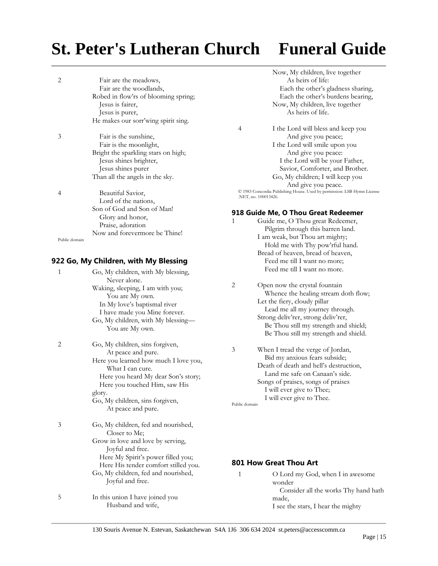|               |                                                    |                | Now, My children, live together                                         |
|---------------|----------------------------------------------------|----------------|-------------------------------------------------------------------------|
| 2             | Fair are the meadows,                              |                | As heirs of life:                                                       |
|               | Fair are the woodlands,                            |                | Each the other's gladness sharing,                                      |
|               | Robed in flow'rs of blooming spring;               |                | Each the other's burdens bearing,                                       |
|               | Jesus is fairer,                                   |                | Now, My children, live together                                         |
|               | Jesus is purer,                                    |                | As heirs of life.                                                       |
|               | He makes our sorr'wing spirit sing.                |                |                                                                         |
|               |                                                    | 4              | I the Lord will bless and keep you                                      |
| 3             | Fair is the sunshine,                              |                | And give you peace;                                                     |
|               | Fair is the moonlight,                             |                | I the Lord will smile upon you                                          |
|               | Bright the sparkling stars on high;                |                | And give you peace:                                                     |
|               | Jesus shines brighter,                             |                | I the Lord will be your Father,                                         |
|               | Jesus shines purer                                 |                | Savior, Comforter, and Brother.                                         |
|               | Than all the angels in the sky.                    |                | Go, My children; I will keep you                                        |
|               |                                                    |                | And give you peace.                                                     |
| 4             | Beautiful Savior,                                  |                | C 1983 Concordia Publishing House. Used by permission: LSB Hymn License |
|               | Lord of the nations,                               |                | .NET, no. 100013426.                                                    |
|               | Son of God and Son of Man!                         |                |                                                                         |
|               | Glory and honor,                                   |                | 918 Guide Me, O Thou Great Redeemer                                     |
|               | Praise, adoration                                  | 1              | Guide me, O Thou great Redeemer,                                        |
|               | Now and forevermore be Thine!                      |                | Pilgrim through this barren land.                                       |
| Public domain |                                                    |                | I am weak, but Thou art mighty;                                         |
|               |                                                    |                | Hold me with Thy pow'rful hand.                                         |
|               |                                                    |                | Bread of heaven, bread of heaven,                                       |
|               | 922 Go, My Children, with My Blessing              |                | Feed me till I want no more;                                            |
| 1             |                                                    |                | Feed me till I want no more.                                            |
|               | Go, My children, with My blessing,<br>Never alone. |                |                                                                         |
|               |                                                    | 2              | Open now the crystal fountain                                           |
|               | Waking, sleeping, I am with you;                   |                | Whence the healing stream doth flow;                                    |
|               | You are My own.                                    |                | Let the fiery, cloudy pillar                                            |
|               | In My love's baptismal river                       |                | Lead me all my journey through.                                         |
|               | I have made you Mine forever.                      |                | Strong deliv'rer, strong deliv'rer,                                     |
|               | Go, My children, with My blessing-                 |                | Be Thou still my strength and shield;                                   |
|               | You are My own.                                    |                | Be Thou still my strength and shield.                                   |
|               |                                                    |                |                                                                         |
| 2             | Go, My children, sins forgiven,                    | $\mathfrak{Z}$ | When I tread the verge of Jordan,                                       |
|               | At peace and pure.                                 |                | Bid my anxious fears subside;                                           |
|               | Here you learned how much I love you,              |                | Death of death and hell's destruction,                                  |
|               | What I can cure.                                   |                | Land me safe on Canaan's side.                                          |
|               | Here you heard My dear Son's story;                |                | Songs of praises, songs of praises                                      |
|               | Here you touched Him, saw His                      |                |                                                                         |
|               | glory.                                             |                | I will ever give to Thee;                                               |
|               | Go, My children, sins forgiven,                    | Public domain  | I will ever give to Thee.                                               |
|               | At peace and pure.                                 |                |                                                                         |
| 3             | Go, My children, fed and nourished,                |                |                                                                         |
|               | Closer to Me;                                      |                |                                                                         |
|               | Grow in love and love by serving,                  |                |                                                                         |
|               | Joyful and free.                                   |                |                                                                         |
|               | Here My Spirit's power filled you;                 |                |                                                                         |
|               | Here His tender comfort stilled you.               |                | 801 How Great Thou Art                                                  |

## 1 O Lord my God, when I in awesome

| $\sim$ 2016 m, $\sim$ 0.4, when I m an evolute |
|------------------------------------------------|
| wonder                                         |
| Consider all the works Thy hand hath           |
| made,                                          |
| I see the stars, I hear the mighty             |
|                                                |

Go, My children, fed and nourished,

Joyful and free.

Husband and wife,

5 In this union I have joined you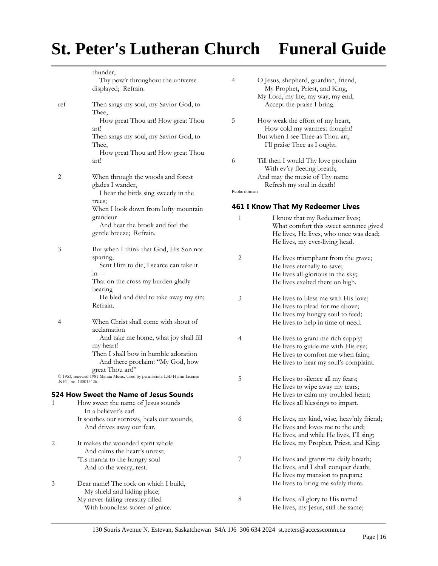|                         | thunder,<br>Thy pow'r throughout the universe                          | 4             | O Jesus, shepherd, guardian, friend,                                          |
|-------------------------|------------------------------------------------------------------------|---------------|-------------------------------------------------------------------------------|
|                         | displayed; Refrain.                                                    |               | My Prophet, Priest, and King,<br>My Lord, my life, my way, my end,            |
| ref                     | Then sings my soul, my Savior God, to<br>Thee,                         |               | Accept the praise I bring.                                                    |
|                         | How great Thou art! How great Thou<br>art!                             | 5             | How weak the effort of my heart,<br>How cold my warmest thought!              |
|                         | Then sings my soul, my Savior God, to                                  |               | But when I see Thee as Thou art,                                              |
|                         | Thee,                                                                  |               | I'll praise Thee as I ought.                                                  |
|                         | How great Thou art! How great Thou                                     |               |                                                                               |
|                         | art!                                                                   | 6             | Till then I would Thy love proclaim<br>With ev'ry fleeting breath;            |
| 2                       | When through the woods and forest                                      |               | And may the music of Thy name                                                 |
|                         | glades I wander,                                                       |               | Refresh my soul in death!                                                     |
|                         | I hear the birds sing sweetly in the                                   | Public domain |                                                                               |
|                         | trees;<br>When I look down from lofty mountain                         |               | <b>461 I Know That My Redeemer Lives</b>                                      |
|                         | grandeur                                                               | $\mathbf{1}$  | I know that my Redeemer lives;                                                |
|                         | And hear the brook and feel the                                        |               | What comfort this sweet sentence gives!                                       |
|                         | gentle breeze; Refrain.                                                |               | He lives, He lives, who once was dead;                                        |
| 3                       | But when I think that God, His Son not                                 |               | He lives, my ever-living head.                                                |
|                         | sparing,                                                               | 2             | He lives triumphant from the grave;                                           |
|                         | Sent Him to die, I scarce can take it                                  |               | He lives eternally to save;                                                   |
|                         | $in-$                                                                  |               | He lives all-glorious in the sky;                                             |
|                         | That on the cross my burden gladly                                     |               | He lives exalted there on high.                                               |
|                         | bearing<br>He bled and died to take away my sin;                       | 3             | He lives to bless me with His love;                                           |
|                         | Refrain.                                                               |               | He lives to plead for me above;                                               |
|                         |                                                                        |               | He lives my hungry soul to feed;                                              |
| 4                       | When Christ shall come with shout of<br>acclamation                    |               | He lives to help in time of need.                                             |
|                         | And take me home, what joy shall fill                                  | 4             | He lives to grant me rich supply;                                             |
|                         | my heart!                                                              |               | He lives to guide me with His eye;                                            |
|                         | Then I shall bow in humble adoration                                   |               | He lives to comfort me when faint;                                            |
|                         | And there proclaim: "My God, how<br>great Thou art!"                   |               | He lives to hear my soul's complaint.                                         |
|                         | C 1953, renewed 1981 Manna Music. Used by permission: LSB Hymn License | 5             | He lives to silence all my fears;                                             |
|                         | .NET, no. 100013426.                                                   |               | He lives to wipe away my tears;                                               |
|                         | 524 How Sweet the Name of Jesus Sounds                                 |               | He lives to calm my troubled heart;                                           |
| 1                       | How sweet the name of Jesus sounds                                     |               | He lives all blessings to impart.                                             |
|                         | In a believer's ear!                                                   |               |                                                                               |
|                         | It soothes our sorrows, heals our wounds,                              | 6             | He lives, my kind, wise, heav'nly friend;                                     |
|                         | And drives away our fear.                                              |               | He lives and loves me to the end;<br>He lives, and while He lives, I'll sing; |
| $\overline{\mathbf{c}}$ | It makes the wounded spirit whole                                      |               | He lives, my Prophet, Priest, and King.                                       |
|                         | And calms the heart's unrest;                                          |               |                                                                               |
|                         | 'Tis manna to the hungry soul                                          | 7             | He lives and grants me daily breath;                                          |
|                         | And to the weary, rest.                                                |               | He lives, and I shall conquer death;                                          |
|                         |                                                                        |               | He lives my mansion to prepare;                                               |
| 3                       | Dear name! The rock on which I build,<br>My shield and hiding place;   |               | He lives to bring me safely there.                                            |
|                         | My never-failing treasury filled                                       | 8             | He lives, all glory to His name!                                              |
|                         | With boundless stores of grace.                                        |               | He lives, my Jesus, still the same;                                           |
|                         |                                                                        |               |                                                                               |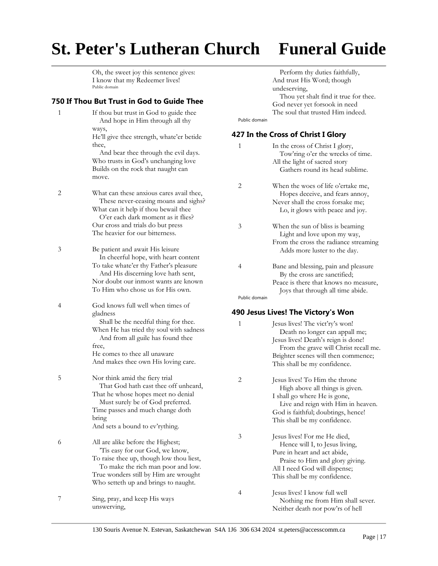Oh, the sweet joy this sentence gives: I know that my Redeemer lives! Public domain

### **750 If Thou But Trust in God to Guide Thee**

| 1 | If thou but trust in God to guide thee<br>And hope in Him through all thy<br>ways,<br>He'll give thee strength, whate'er betide<br>thee,                                                                                                              |
|---|-------------------------------------------------------------------------------------------------------------------------------------------------------------------------------------------------------------------------------------------------------|
|   | And bear thee through the evil days.<br>Who trusts in God's unchanging love<br>Builds on the rock that naught can<br>move.                                                                                                                            |
| 2 | What can these anxious cares avail thee,<br>These never-ceasing moans and sighs?<br>What can it help if thou bewail thee<br>O'er each dark moment as it flies?<br>Our cross and trials do but press<br>The heavier for our bitterness.                |
| 3 | Be patient and await His leisure<br>In cheerful hope, with heart content<br>To take whate'er thy Father's pleasure<br>And His discerning love hath sent,<br>Nor doubt our inmost wants are known<br>To Him who chose us for His own.                  |
| 4 | God knows full well when times of<br>gladness<br>Shall be the needful thing for thee.<br>When He has tried thy soul with sadness<br>And from all guile has found thee<br>tree,<br>He comes to thee all unaware<br>And makes thee own His loving care. |
| 5 | Nor think amid the fiery trial<br>That God hath cast thee off unheard,<br>That he whose hopes meet no denial<br>Must surely be of God preferred.<br>Time passes and much change doth<br>bring<br>And sets a bound to ev'rything.                      |
| 6 | All are alike before the Highest;<br>'Tis easy for our God, we know,<br>To raise thee up, though low thou liest,<br>To make the rich man poor and low.<br>True wonders still by Him are wrought<br>Who setteth up and brings to naught.               |
| 7 | Sing, pray, and keep His ways<br>unswerving,                                                                                                                                                                                                          |

 Perform thy duties faithfully, And trust His Word; though undeserving, Thou yet shalt find it true for thee.

God never yet forsook in need The soul that trusted Him indeed.

## **427 In the Cross of Christ I Glory**

Public domain

|               | <b>III THE CLOSS OF CHILSE LIGIOLY</b>                                                                                                                                                                                   |
|---------------|--------------------------------------------------------------------------------------------------------------------------------------------------------------------------------------------------------------------------|
| 1             | In the cross of Christ I glory,<br>Tow'ring o'er the wrecks of time.<br>All the light of sacred story<br>Gathers round its head sublime.                                                                                 |
| 2             | When the woes of life o'ertake me,<br>Hopes deceive, and fears annoy,<br>Never shall the cross forsake me;<br>Lo, it glows with peace and joy.                                                                           |
| 3             | When the sun of bliss is beaming<br>Light and love upon my way,<br>From the cross the radiance streaming<br>Adds more luster to the day.                                                                                 |
| 4             | Bane and blessing, pain and pleasure<br>By the cross are sanctified;<br>Peace is there that knows no measure,<br>Joys that through all time abide.                                                                       |
| Public domain |                                                                                                                                                                                                                          |
|               | 490 Jesus Lives! The Victory's Won                                                                                                                                                                                       |
| 1             | Jesus lives! The vict'ry's won!<br>Death no longer can appall me;<br>Jesus lives! Death's reign is done!<br>From the grave will Christ recall me.<br>Brighter scenes will then commence;<br>This shall be my confidence. |
| 2             | Jesus lives! To Him the throne<br>High above all things is given.<br>I shall go where He is gone,<br>Live and reign with Him in heaven.<br>God is faithful; doubtings, hence!<br>This shall be my confidence.            |
| 3             | Jesus lives! For me He died,<br>Hence will I, to Jesus living,<br>Pure in heart and act abide,<br>Praise to Him and glory giving.<br>All I need God will dispense;<br>This shall be my confidence.                       |
| 4             | Jesus lives! I know full well<br>Nothing me from Him shall sever.<br>Neither death nor pow'rs of hell                                                                                                                    |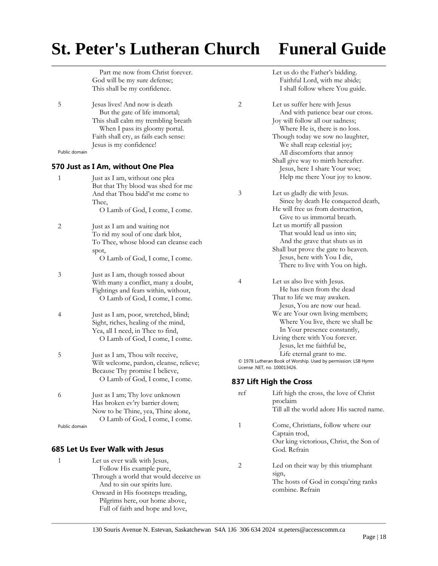|               | Part me now from Christ forever.        |     | Let us do the Father's bidding.                               |
|---------------|-----------------------------------------|-----|---------------------------------------------------------------|
|               | God will be my sure defense;            |     | Faithful Lord, with me abide;                                 |
|               | This shall be my confidence.            |     | I shall follow where You guide.                               |
| 5             | Jesus lives! And now is death           | 2   | Let us suffer here with Jesus                                 |
|               | But the gate of life immortal;          |     | And with patience bear our cross.                             |
|               | This shall calm my trembling breath     |     | Joy will follow all our sadness;                              |
|               | When I pass its gloomy portal.          |     | Where He is, there is no loss.                                |
|               | Faith shall cry, as fails each sense:   |     | Though today we sow no laughter,                              |
|               | Jesus is my confidence!                 |     | We shall reap celestial joy;                                  |
| Public domain |                                         |     | All discomforts that annoy                                    |
|               |                                         |     | Shall give way to mirth hereafter.                            |
|               | 570 Just as I Am, without One Plea      |     | Jesus, here I share Your woe;                                 |
| 1             | Just as I am, without one plea          |     | Help me there Your joy to know.                               |
|               | But that Thy blood was shed for me      |     |                                                               |
|               | And that Thou bidd'st me come to        | 3   | Let us gladly die with Jesus.                                 |
|               |                                         |     | Since by death He conquered death,                            |
|               | Thee,                                   |     | He will free us from destruction,                             |
|               | O Lamb of God, I come, I come.          |     | Give to us immortal breath.                                   |
|               |                                         |     | Let us mortify all passion                                    |
| 2             | Just as I am and waiting not            |     | That would lead us into sin;                                  |
|               | To rid my soul of one dark blot,        |     |                                                               |
|               | To Thee, whose blood can cleanse each   |     | And the grave that shuts us in                                |
|               | spot,                                   |     | Shall but prove the gate to heaven.                           |
|               | O Lamb of God, I come, I come.          |     | Jesus, here with You I die,                                   |
|               |                                         |     | There to live with You on high.                               |
| 3             | Just as I am, though tossed about       |     |                                                               |
|               | With many a conflict, many a doubt,     | 4   | Let us also live with Jesus.                                  |
|               | Fightings and fears within, without,    |     | He has risen from the dead                                    |
|               | O Lamb of God, I come, I come.          |     | That to life we may awaken.                                   |
|               |                                         |     | Jesus, You are now our head.                                  |
| 4             | Just as I am, poor, wretched, blind;    |     | We are Your own living members;                               |
|               | Sight, riches, healing of the mind,     |     | Where You live, there we shall be                             |
|               | Yea, all I need, in Thee to find,       |     | In Your presence constantly,                                  |
|               | O Lamb of God, I come, I come.          |     | Living there with You forever.                                |
|               |                                         |     | Jesus, let me faithful be,                                    |
| 5             | Just as I am, Thou wilt receive,        |     | Life eternal grant to me.                                     |
|               | Wilt welcome, pardon, cleanse, relieve; |     | © 1978 Lutheran Book of Worship. Used by permission: LSB Hymn |
|               | Because Thy promise I believe,          |     | License .NET, no. 100013426.                                  |
|               | O Lamb of God, I come, I come.          |     | 837 Lift High the Cross                                       |
|               |                                         | ref | Lift high the cross, the love of Christ                       |
| 6             | Just as I am; Thy love unknown          |     |                                                               |
|               | Has broken ev'ry barrier down;          |     | proclaim<br>Till all the world adore His sacred name.         |
|               | Now to be Thine, yea, Thine alone,      |     |                                                               |
|               | O Lamb of God, I come, I come.          |     |                                                               |
| Public domain |                                         | 1   | Come, Christians, follow where our                            |
|               |                                         |     | Captain trod,                                                 |
|               |                                         |     | Our king victorious, Christ, the Son of                       |
|               | 685 Let Us Ever Walk with Jesus         |     | God. Refrain                                                  |

## **685 Let Us Ever Walk with Jesus**

1 Let us ever walk with Jesus, Follow His example pure, Through a world that would deceive us And to sin our spirits lure. Onward in His footsteps treading, Pilgrims here, our home above, Full of faith and hope and love,

2 Led on their way by this triumphant

combine. Refrain

The hosts of God in conqu'ring ranks

sign,

130 Souris Avenue N. Estevan, Saskatchewan S4A 1J6 306 634 2024 st.peters@accesscomm.ca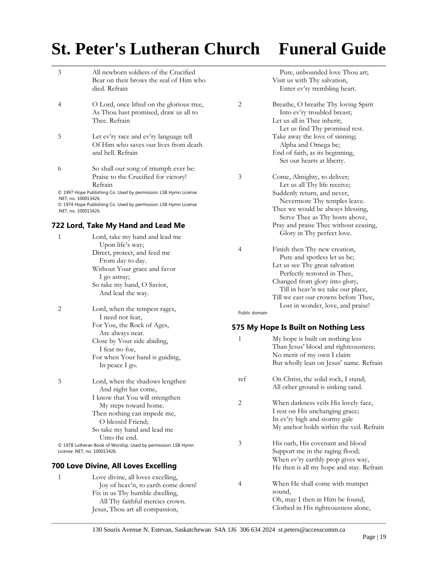3 All newborn soldiers of the Crucified Bear on their brows the seal of Him who died. Refrain 4 O Lord, once lifted on the glorious tree, As Thou hast promised, draw us all to Thee. Refrain 5 Let ev'ry race and ev'ry language tell Of Him who saves our lives from death and hell. Refrain 6 So shall our song of triumph ever be: Praise to the Crucified for victory! Refrain © 1997 Hope Publishing Co. Used by permission: LSB Hymn License .NET, no. 100013426. © 1974 Hope Publishing Co. Used by permission: LSB Hymn License .NET, no. 100013426. **722 Lord, Take My Hand and Lead Me** 1 Lord, take my hand and lead me Upon life's way; Direct, protect, and feed me From day to day. Without Your grace and favor I go astray; So take my hand, O Savior, And lead the way. 2 Lord, when the tempest rages, I need not fear, For You, the Rock of Ages, Are always near. Close by Your side abiding, I fear no foe, For when Your hand is guiding, In peace I go. Visit us with Thy salvation, Enter ev'ry trembling heart. 2 Breathe, O breathe Thy loving Spirit Let us all in Thee inherit; Alpha and Omega be; Set our hearts at liberty. 3 Come, Almighty, to deliver; Let us all Thy life receive; Suddenly return, and never, 4 Finish then Thy new creation, Public domain No merit of my own I claim

3 Lord, when the shadows lengthen And night has come, I know that You will strengthen My steps toward home. Then nothing can impede me, O blessèd Friend; So take my hand and lead me Unto the end. © 1978 Lutheran Book of Worship. Used by permission: LSB Hymn License .NET, no. 100013426.

### **700 Love Divine, All Loves Excelling**

1 Love divine, all loves excelling, Joy of heav'n, to earth come down! Fix in us Thy humble dwelling, All Thy faithful mercies crown. Jesus, Thou art all compassion,

Pure, unbounded love Thou art;

 Into ev'ry troubled breast; Let us find Thy promised rest. Take away the love of sinning; End of faith, as its beginning,

 Nevermore Thy temples leave. Thee we would be always blessing, Serve Thee as Thy hosts above, Pray and praise Thee without ceasing, Glory in Thy perfect love.

| Finish then Thy new creation,        |
|--------------------------------------|
| Pure and spotless let us be;         |
| Let us see Thy great salvation       |
| Perfectly restored in Thee,          |
| Changed from glory into glory,       |
| Till in heav'n we take our place,    |
| Till we cast our crowns before Thee, |
| Lost in wonder, love, and praise!    |
|                                      |

### **575 My Hope Is Built on Nothing Less**

| 1   | My hope is built on nothing less<br>Than Jesus' blood and righteousness;<br>No merit of my own I claim<br>But wholly lean on Jesus' name. Refrain     |
|-----|-------------------------------------------------------------------------------------------------------------------------------------------------------|
| ref | On Christ, the solid rock, I stand;<br>All other ground is sinking sand.                                                                              |
| 2   | When darkness veils His lovely face,<br>I rest on His unchanging grace;<br>In ev'ry high and stormy gale<br>My anchor holds within the veil. Refrain  |
| 3   | His oath, His covenant and blood<br>Support me in the raging flood;<br>When ev'ry earthly prop gives way,<br>He then is all my hope and stay. Refrain |
| 4   | When He shall come with trumpet<br>sound.<br>Oh, may I then in Him be found,                                                                          |

Clothed in His righteousness alone,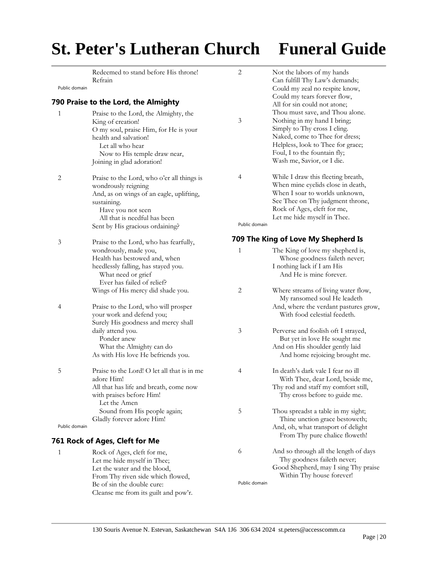Redeemed to stand before His throne! Refrain

Public domain

### **790 Praise to the Lord, the Almighty**

| 1 | Praise to the Lord, the Almighty, the |
|---|---------------------------------------|
|   | King of creation!                     |
|   | O my soul, praise Him, for He is your |
|   | health and salvation!                 |
|   | Let all who hear                      |
|   | Now to His temple draw near,          |
|   | Joining in glad adoration!            |
|   |                                       |

- 2 Praise to the Lord, who o'er all things is wondrously reigning And, as on wings of an eagle, uplifting, sustaining. Have you not seen All that is needful has been Sent by His gracious ordaining?
- 3 Praise to the Lord, who has fearfully, wondrously, made you, Health has bestowed and, when heedlessly falling, has stayed you. What need or grief Ever has failed of relief? Wings of His mercy did shade you.
- 4 Praise to the Lord, who will prosper your work and defend you; Surely His goodness and mercy shall daily attend you. Ponder anew What the Almighty can do As with His love He befriends you.
- 5 Praise to the Lord! O let all that is in me adore Him! All that has life and breath, come now with praises before Him! Let the Amen Sound from His people again; Gladly forever adore Him!

Public domain

### **761 Rock of Ages, Cleft for Me**

1 Rock of Ages, cleft for me, Let me hide myself in Thee; Let the water and the blood, From Thy riven side which flowed, Be of sin the double cure: Cleanse me from its guilt and pow'r.

- 2 Not the labors of my hands Can fulfill Thy Law's demands;
- Could my zeal no respite know, Could my tears forever flow, All for sin could not atone; Thou must save, and Thou alone. 3 Nothing in my hand I bring; Simply to Thy cross I cling. Naked, come to Thee for dress; Helpless, look to Thee for grace; Foul, I to the fountain fly; Wash me, Savior, or I die.
- 4 While I draw this fleeting breath, When mine eyelids close in death, When I soar to worlds unknown, See Thee on Thy judgment throne, Rock of Ages, cleft for me, Let me hide myself in Thee.

Public domain

### **709 The King of Love My Shepherd Is**

| 1             | ------ <i>---</i><br>The King of love my shepherd is,<br>Whose goodness faileth never;<br>I nothing lack if I am His<br>And He is mine forever. |
|---------------|-------------------------------------------------------------------------------------------------------------------------------------------------|
| 2             | Where streams of living water flow,<br>My ransomed soul He leadeth<br>And, where the verdant pastures grow,<br>With food celestial feedeth.     |
| 3             | Perverse and foolish oft I strayed,<br>But yet in love He sought me<br>And on His shoulder gently laid<br>And home rejoicing brought me.        |
| 4             | In death's dark vale I fear no ill<br>With Thee, dear Lord, beside me,<br>Thy rod and staff my comfort still,<br>Thy cross before to guide me.  |
| 5             | Thou spreadst a table in my sight;<br>Thine unction grace bestoweth;<br>And, oh, what transport of delight<br>From Thy pure chalice floweth!    |
| 6             | And so through all the length of days<br>Thy goodness faileth never;<br>Good Shepherd, may I sing Thy praise<br>Within Thy house forever!       |
| Public domain |                                                                                                                                                 |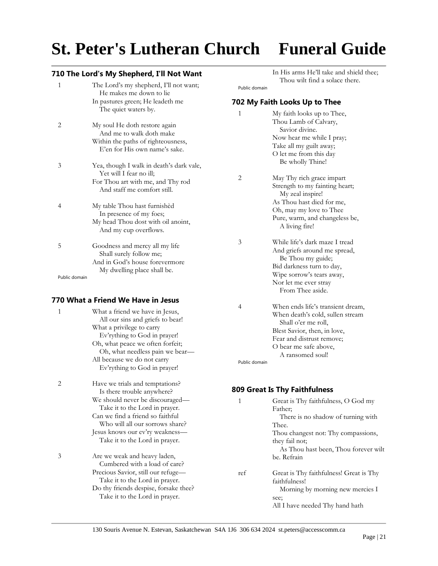### **710 The Lord's My Shepherd, I'll Not Want**

| 1                             | The Lord's my shepherd, I'll not want;<br>He makes me down to lie<br>In pastures green; He leadeth me<br>The quiet waters by.           |
|-------------------------------|-----------------------------------------------------------------------------------------------------------------------------------------|
| $\mathfrak{D}_{\mathfrak{p}}$ | My soul He doth restore again<br>And me to walk doth make<br>Within the paths of righteousness,<br>E'en for His own name's sake.        |
| 3                             | Yea, though I walk in death's dark vale,<br>Yet will I fear no ill;<br>For Thou art with me, and Thy rod<br>And staff me comfort still. |
| 4                             | My table Thou hast furnishèd<br>In presence of my foes;<br>My head Thou dost with oil anoint,<br>And my cup overflows.                  |
| 5                             | Goodness and mercy all my life<br>Shall surely follow me;<br>And in God's house forevermore<br>My dwelling place shall be.              |
| Public domain                 |                                                                                                                                         |

### **770 What a Friend We Have in Jesus**

| 1 | What a friend we have in Jesus,<br>All our sins and griefs to bear!<br>What a privilege to carry<br>Ev'rything to God in prayer!<br>Oh, what peace we often forfeit;<br>Oh, what needless pain we bear-<br>All because we do not carry<br>Ev'rything to God in prayer! | ┭<br>Public domain | when enus me's transiem uream,<br>When death's cold, sullen stream<br>Shall o'er me roll,<br>Blest Savior, then, in love,<br>Fear and distrust remove;<br>O bear me safe above,<br>A ransomed soul! |
|---|------------------------------------------------------------------------------------------------------------------------------------------------------------------------------------------------------------------------------------------------------------------------|--------------------|-----------------------------------------------------------------------------------------------------------------------------------------------------------------------------------------------------|
| 2 | Have we trials and temptations?<br>Is there trouble anywhere?                                                                                                                                                                                                          |                    | 809 Great Is Thy Faithfulness                                                                                                                                                                       |
|   | We should never be discouraged—<br>Take it to the Lord in prayer.<br>Can we find a friend so faithful<br>Who will all our sorrows share?<br>Jesus knows our ev'ry weakness-<br>Take it to the Lord in prayer.                                                          | 1                  | Great is Thy faithfulness, O God my<br>Father:<br>There is no shadow of turning with<br>Thee.<br>Thou changest not: Thy compassions,<br>they fail not;<br>As Thou hast been, Thou forever wilt      |
| 3 | Are we weak and heavy laden,<br>Cumbered with a load of care?                                                                                                                                                                                                          |                    | be. Refrain                                                                                                                                                                                         |
|   | Precious Savior, still our refuge-<br>Take it to the Lord in prayer.<br>Do thy friends despise, forsake thee?<br>Take it to the Lord in prayer.                                                                                                                        | ref                | Great is Thy faithfulness! Great is Thy<br>faithfulness!<br>Morning by morning new mercies I<br>see;<br>All I have needed Thy hand hath                                                             |

In His arms He'll take and shield thee; Thou wilt find a solace there.

### **702 My Faith Looks Up to Thee**

1 My faith looks up to Thee,

2 May Thy rich grace impart

A living fire!

3 While life's dark maze I tread

Thou Lamb of Calvary, Savior divine. Now hear me while I pray; Take all my guilt away; O let me from this day Be wholly Thine!

Strength to my fainting heart; My zeal inspire! As Thou hast died for me, Oh, may my love to Thee Pure, warm, and changeless be,

And griefs around me spread, Be Thou my guide; Bid darkness turn to day, Wipe sorrow's tears away, Nor let me ever stray From Thee aside.

 $W_{\text{max}}$  ends life's transient dream,

Public domain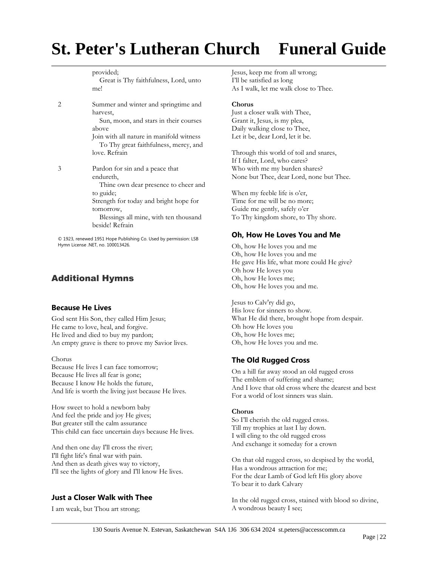provided; Great is Thy faithfulness, Lord, unto me! 2 Summer and winter and springtime and harvest, Sun, moon, and stars in their courses above Join with all nature in manifold witness To Thy great faithfulness, mercy, and love. Refrain 3 Pardon for sin and a peace that endureth, Thine own dear presence to cheer and to guide; Strength for today and bright hope for tomorrow, Blessings all mine, with ten thousand beside! Refrain

© 1923, renewed 1951 Hope Publishing Co. Used by permission: LSB Hymn License .NET, no. 100013426.

## Additional Hymns

### **Because He Lives**

God sent His Son, they called Him Jesus; He came to love, heal, and forgive. He lived and died to buy my pardon; An empty grave is there to prove my Savior lives.

### Chorus

Because He lives I can face tomorrow; Because He lives all fear is gone; Because I know He holds the future, And life is worth the living just because He lives.

How sweet to hold a newborn baby And feel the pride and joy He gives; But greater still the calm assurance This child can face uncertain days because He lives.

And then one day I'll cross the river; I'll fight life's final war with pain. And then as death gives way to victory, I'll see the lights of glory and I'll know He lives.

### **Just a Closer Walk with Thee**

I am weak, but Thou art strong;

Jesus, keep me from all wrong; I'll be satisfied as long As I walk, let me walk close to Thee.

### **Chorus**

Just a closer walk with Thee, [Grant](http://library.timelesstruths.org/music/Just_a_Closer_Walk_with_Thee/) it, Jesus, is my plea, Daily walking close to Thee, Let it be, dear Lord, let it be.

Through this world of toil and snares, If I falter, Lord, who cares? Who with me my burden shares? None but Thee, dear Lord, none but Thee.

When my feeble life is o'er, Time for me will be no more; Guide me gently, safely o'er To Thy kingdom shore, to Thy shore.

### **Oh, How He Loves You and Me**

Oh, how He loves you and me Oh, how He loves you and me He gave His life, what more could He give? Oh how He loves you Oh, how He loves me; Oh, how He loves you and me.

Jesus to Calv'ry did go, His love for sinners to show. What He did there, brought hope from despair. Oh how He loves you Oh, how He loves me; Oh, how He loves you and me.

## **The Old Rugged Cross**

On a hill far away stood an old rugged cross The emblem of suffering and shame; And I love that old cross where the dearest and best For a world of lost sinners was slain.

### **Chorus**

So I'll cherish the old rugged cross. Till my trophies at last I lay down. I will cling to the old rugged cross And exchange it someday for a crown

On that old rugged cross, so despised by the world, Has a wondrous attraction for me; For the dear Lamb of God left His glory above To bear it to dark Calvary

In the old rugged cross, stained with blood so divine, A wondrous beauty I see;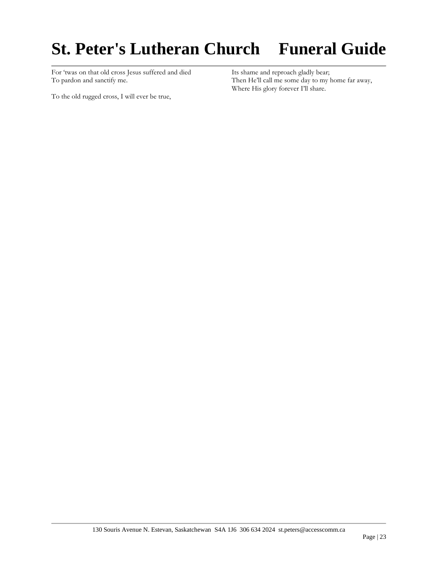For 'twas on that old cross Jesus suffered and died To pardon and sanctify me.

To the old rugged cross, I will ever be true,

Its shame and reproach gladly bear; Then He'll call me some day to my home far away, Where His glory forever I'll share.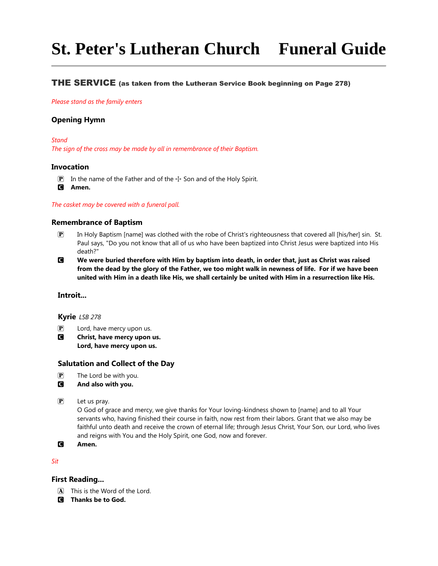### THE SERVICE (as taken from the Lutheran Service Book beginning on Page 278)

### *Please stand as the family enters*

### **Opening Hymn**

### *Stand*

*The sign of the cross may be made by all in remembrance of their Baptism.*

### **Invocation**

- **P** In the name of the Father and of the  $\pm$  Son and of the Holy Spirit.
- C **Amen.**

### *The casket may be covered with a funeral pall.*

### **Remembrance of Baptism**

- P In Holy Baptism [name] was clothed with the robe of Christ's righteousness that covered all [his/her] sin. St. Paul says, "Do you not know that all of us who have been baptized into Christ Jesus were baptized into His death?"
- C **We were buried therefore with Him by baptism into death, in order that, just as Christ was raised from the dead by the glory of the Father, we too might walk in newness of life. For if we have been united with Him in a death like His, we shall certainly be united with Him in a resurrection like His.**

### **Introit...**

### **Kyrie** *LSB 278*

- $\overline{P}$  Lord, have mercy upon us.
- **C** Christ, have mercy upon us. **Lord, have mercy upon us.**

### **Salutation and Collect of the Day**

- $\mathbf{P}$  The Lord be with you.
- C **And also with you.**
- P Let us pray.

O God of grace and mercy, we give thanks for Your loving-kindness shown to [name] and to all Your servants who, having finished their course in faith, now rest from their labors. Grant that we also may be faithful unto death and receive the crown of eternal life; through Jesus Christ, Your Son, our Lord, who lives and reigns with You and the Holy Spirit, one God, now and forever.

C **Amen.**

*Sit*

### **First Reading...**

- A This is the Word of the Lord.
- C **Thanks be to God.**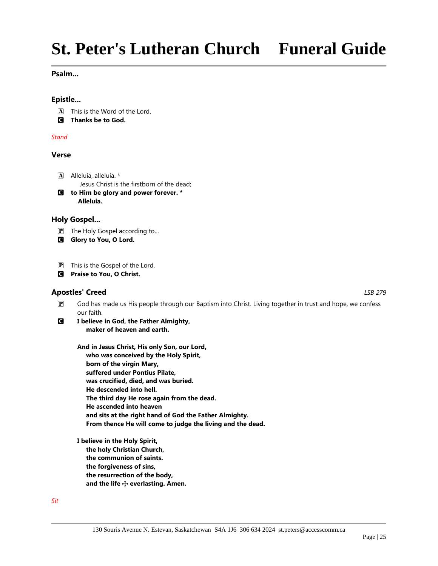### **Psalm...**

### **Epistle...**

- A This is the Word of the Lord.
- C **Thanks be to God.**

### *Stand*

### **Verse**

- A Alleluia, alleluia. \* Jesus Christ is the firstborn of the dead;
- C **to Him be glory and power forever. \* Alleluia.**

### **Holy Gospel...**

- **P** The Holy Gospel according to...
- **G** Glory to You, O Lord.
- $\mathbf{P}$  This is the Gospel of the Lord.
- C **Praise to You, O Christ.**

### **Apostles' Creed** *LSB 279*

- P God has made us His people through our Baptism into Christ. Living together in trust and hope, we confess our faith.
- C **I believe in God, the Father Almighty, maker of heaven and earth.**

**And in Jesus Christ, His only Son, our Lord, who was conceived by the Holy Spirit, born of the virgin Mary, suffered under Pontius Pilate, was crucified, died, and was buried. He descended into hell. The third day He rose again from the dead. He ascended into heaven and sits at the right hand of God the Father Almighty. From thence He will come to judge the living and the dead.**

**I believe in the Holy Spirit, the holy Christian Church, the communion of saints. the forgiveness of sins, the resurrection of the body,** and the life  $\div$  everlasting. Amen.

*Sit*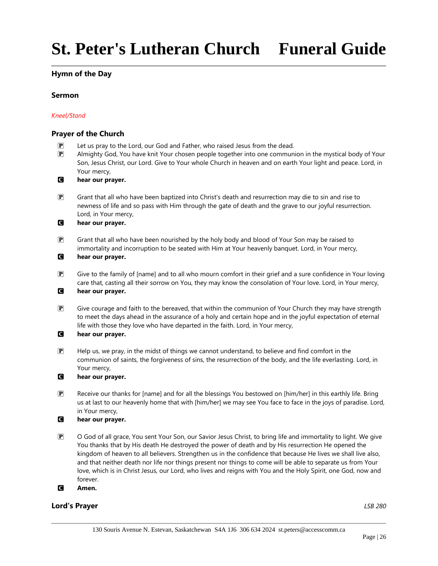### **Hymn of the Day**

### **Sermon**

### *Kneel/Stand*

### **Prayer of the Church**

- $\mathbf{P}$  Let us pray to the Lord, our God and Father, who raised Jesus from the dead.
- P Almighty God, You have knit Your chosen people together into one communion in the mystical body of Your Son, Jesus Christ, our Lord. Give to Your whole Church in heaven and on earth Your light and peace. Lord, in Your mercy,

C **hear our prayer.**

P Grant that all who have been baptized into Christ's death and resurrection may die to sin and rise to newness of life and so pass with Him through the gate of death and the grave to our joyful resurrection. Lord, in Your mercy,

### C **hear our prayer.**

P Grant that all who have been nourished by the holy body and blood of Your Son may be raised to immortality and incorruption to be seated with Him at Your heavenly banquet. Lord, in Your mercy,

### C **hear our prayer.**

P Give to the family of [name] and to all who mourn comfort in their grief and a sure confidence in Your loving care that, casting all their sorrow on You, they may know the consolation of Your love. Lord, in Your mercy,

### C **hear our prayer.**

P Give courage and faith to the bereaved, that within the communion of Your Church they may have strength to meet the days ahead in the assurance of a holy and certain hope and in the joyful expectation of eternal life with those they love who have departed in the faith. Lord, in Your mercy,

### C **hear our prayer.**

 $\mathbb{P}$  Help us, we pray, in the midst of things we cannot understand, to believe and find comfort in the communion of saints, the forgiveness of sins, the resurrection of the body, and the life everlasting. Lord, in Your mercy,

### C **hear our prayer.**

P Receive our thanks for [name] and for all the blessings You bestowed on [him/her] in this earthly life. Bring us at last to our heavenly home that with [him/her] we may see You face to face in the joys of paradise. Lord, in Your mercy,

### C **hear our prayer.**

- P O God of all grace, You sent Your Son, our Savior Jesus Christ, to bring life and immortality to light. We give You thanks that by His death He destroyed the power of death and by His resurrection He opened the kingdom of heaven to all believers. Strengthen us in the confidence that because He lives we shall live also, and that neither death nor life nor things present nor things to come will be able to separate us from Your love, which is in Christ Jesus, our Lord, who lives and reigns with You and the Holy Spirit, one God, now and forever.
- C **Amen.**

### **Lord's Prayer** *LSB 280*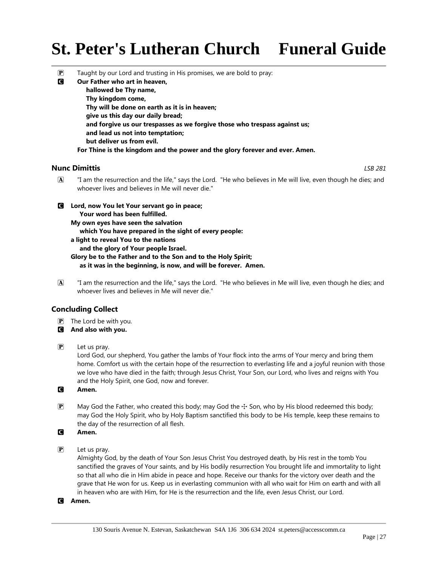$\mathbf{P}$  Taught by our Lord and trusting in His promises, we are bold to pray: C **Our Father who art in heaven, hallowed be Thy name, Thy kingdom come, Thy will be done on earth as it is in heaven; give us this day our daily bread; and forgive us our trespasses as we forgive those who trespass against us; and lead us not into temptation; but deliver us from evil. For Thine is the kingdom and the power and the glory forever and ever. Amen.**

### **Nunc Dimittis** *LSB 281*

- A "I am the resurrection and the life," says the Lord. "He who believes in Me will live, even though he dies; and whoever lives and believes in Me will never die."
- C **Lord, now You let Your servant go in peace; Your word has been fulfilled. My own eyes have seen the salvation**
	- **which You have prepared in the sight of every people:**
	- **a light to reveal You to the nations**
	- **and the glory of Your people Israel.**

**Glory be to the Father and to the Son and to the Holy Spirit;**

 **as it was in the beginning, is now, and will be forever. Amen.**

A "I am the resurrection and the life," says the Lord. "He who believes in Me will live, even though he dies; and whoever lives and believes in Me will never die."

### **Concluding Collect**

- $\overline{P}$  The Lord be with you.
- C **And also with you.**
- $\left| \mathbf{P} \right|$  Let us pray.

Lord God, our shepherd, You gather the lambs of Your flock into the arms of Your mercy and bring them home. Comfort us with the certain hope of the resurrection to everlasting life and a joyful reunion with those we love who have died in the faith; through Jesus Christ, Your Son, our Lord, who lives and reigns with You and the Holy Spirit, one God, now and forever.

- C **Amen.**
- **P** May God the Father, who created this body; may God the  $\pm$  Son, who by His blood redeemed this body; may God the Holy Spirit, who by Holy Baptism sanctified this body to be His temple, keep these remains to the day of the resurrection of all flesh.
- C **Amen.**
- $\mathbf{P}$  Let us pray.

Almighty God, by the death of Your Son Jesus Christ You destroyed death, by His rest in the tomb You sanctified the graves of Your saints, and by His bodily resurrection You brought life and immortality to light so that all who die in Him abide in peace and hope. Receive our thanks for the victory over death and the grave that He won for us. Keep us in everlasting communion with all who wait for Him on earth and with all in heaven who are with Him, for He is the resurrection and the life, even Jesus Christ, our Lord.

C **Amen.**